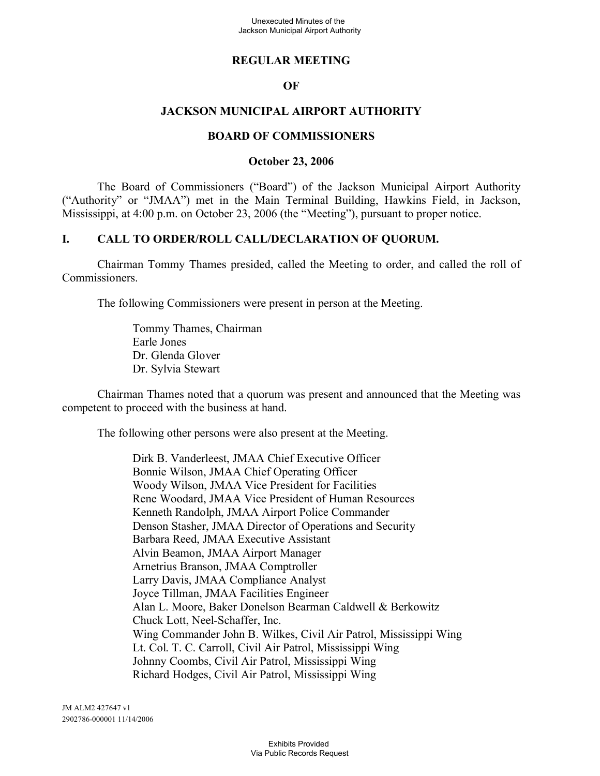#### **REGULAR MEETING**

#### **OF**

#### **JACKSON MUNICIPAL AIRPORT AUTHORITY**

#### **BOARD OF COMMISSIONERS**

#### **October 23, 2006**

The Board of Commissioners ("Board") of the Jackson Municipal Airport Authority ("Authority" or "JMAA") met in the Main Terminal Building, Hawkins Field, in Jackson, Mississippi, at 4:00 p.m. on October 23, 2006 (the "Meeting"), pursuant to proper notice.

#### **I. CALL TO ORDER/ROLL CALL/DECLARATION OF QUORUM.**

Chairman Tommy Thames presided, called the Meeting to order, and called the roll of Commissioners.

The following Commissioners were present in person at the Meeting.

Tommy Thames, Chairman Earle Jones Dr. Glenda Glover Dr. Sylvia Stewart

Chairman Thames noted that a quorum was present and announced that the Meeting was competent to proceed with the business at hand.

The following other persons were also present at the Meeting.

Dirk B. Vanderleest, JMAA Chief Executive Officer Bonnie Wilson, JMAA Chief Operating Officer Woody Wilson, JMAA Vice President for Facilities Rene Woodard, JMAA Vice President of Human Resources Kenneth Randolph, JMAA Airport Police Commander Denson Stasher, JMAA Director of Operations and Security Barbara Reed, JMAA Executive Assistant Alvin Beamon, JMAA Airport Manager Arnetrius Branson, JMAA Comptroller Larry Davis, JMAA Compliance Analyst Joyce Tillman, JMAA Facilities Engineer Alan L. Moore, Baker Donelson Bearman Caldwell & Berkowitz Chuck Lott, Neel-Schaffer, Inc. Wing Commander John B. Wilkes, Civil Air Patrol, Mississippi Wing Lt. Col. T. C. Carroll, Civil Air Patrol, Mississippi Wing Johnny Coombs, Civil Air Patrol, Mississippi Wing Richard Hodges, Civil Air Patrol, Mississippi Wing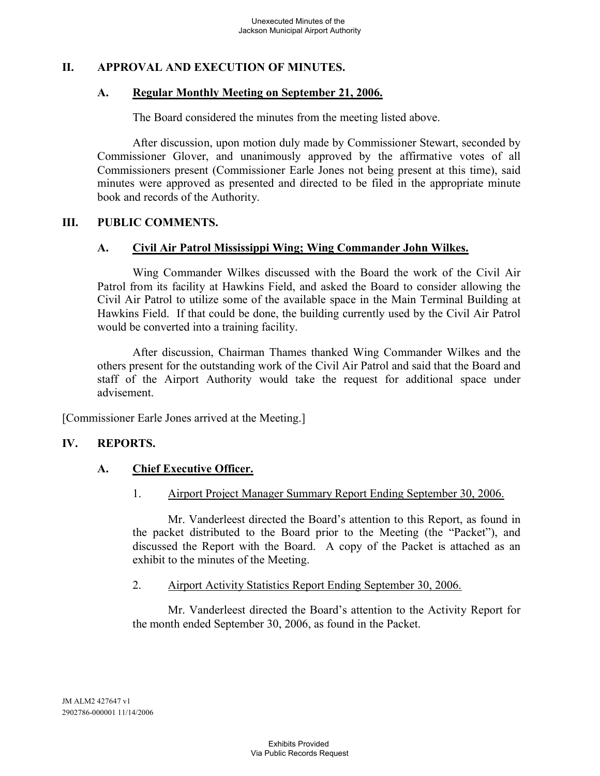# **II. APPROVAL AND EXECUTION OF MINUTES.**

#### **A. Regular Monthly Meeting on September 21, 2006.**

The Board considered the minutes from the meeting listed above.

After discussion, upon motion duly made by Commissioner Stewart, seconded by Commissioner Glover, and unanimously approved by the affirmative votes of all Commissioners present (Commissioner Earle Jones not being present at this time), said minutes were approved as presented and directed to be filed in the appropriate minute book and records of the Authority.

#### **III. PUBLIC COMMENTS.**

#### **A. Civil Air Patrol Mississippi Wing; Wing Commander John Wilkes.**

Wing Commander Wilkes discussed with the Board the work of the Civil Air Patrol from its facility at Hawkins Field, and asked the Board to consider allowing the Civil Air Patrol to utilize some of the available space in the Main Terminal Building at Hawkins Field. If that could be done, the building currently used by the Civil Air Patrol would be converted into a training facility.

After discussion, Chairman Thames thanked Wing Commander Wilkes and the others present for the outstanding work of the Civil Air Patrol and said that the Board and staff of the Airport Authority would take the request for additional space under advisement.

[Commissioner Earle Jones arrived at the Meeting.]

# **IV. REPORTS.**

# **A. Chief Executive Officer.**

1. Airport Project Manager Summary Report Ending September 30, 2006.

Mr. Vanderleest directed the Board's attention to this Report, as found in the packet distributed to the Board prior to the Meeting (the "Packet"), and discussed the Report with the Board. A copy of the Packet is attached as an exhibit to the minutes of the Meeting.

#### 2. Airport Activity Statistics Report Ending September 30, 2006.

Mr. Vanderleest directed the Board's attention to the Activity Report for the month ended September 30, 2006, as found in the Packet.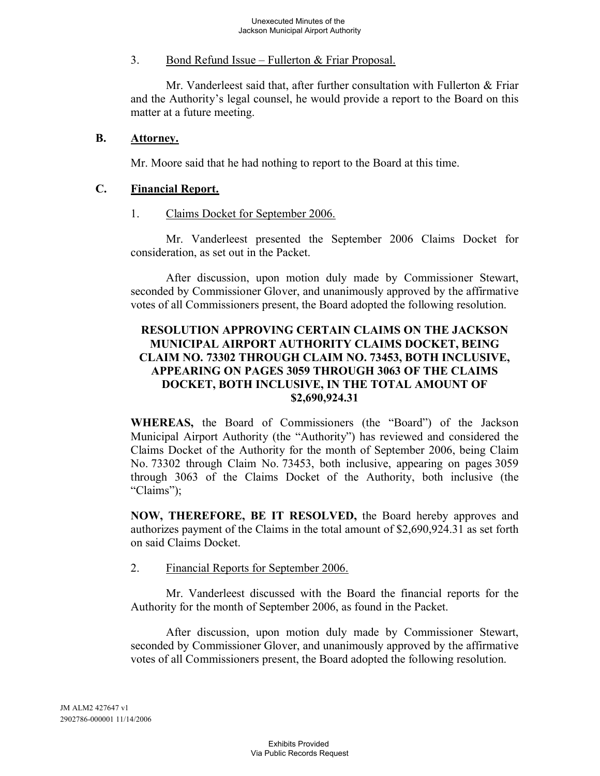#### 3. Bond Refund Issue – Fullerton & Friar Proposal.

Mr. Vanderleest said that, after further consultation with Fullerton & Friar and the Authority's legal counsel, he would provide a report to the Board on this matter at a future meeting.

#### **B. Attorney.**

Mr. Moore said that he had nothing to report to the Board at this time.

#### **C. Financial Report.**

1. Claims Docket for September 2006.

Mr. Vanderleest presented the September 2006 Claims Docket for consideration, as set out in the Packet.

After discussion, upon motion duly made by Commissioner Stewart, seconded by Commissioner Glover, and unanimously approved by the affirmative votes of all Commissioners present, the Board adopted the following resolution.

#### **RESOLUTION APPROVING CERTAIN CLAIMS ON THE JACKSON MUNICIPAL AIRPORT AUTHORITY CLAIMS DOCKET, BEING CLAIM NO. 73302 THROUGH CLAIM NO. 73453, BOTH INCLUSIVE, APPEARING ON PAGES 3059 THROUGH 3063 OF THE CLAIMS DOCKET, BOTH INCLUSIVE, IN THE TOTAL AMOUNT OF \$2,690,924.31**

**WHEREAS,** the Board of Commissioners (the "Board") of the Jackson Municipal Airport Authority (the "Authority") has reviewed and considered the Claims Docket of the Authority for the month of September 2006, being Claim No. 73302 through Claim No. 73453, both inclusive, appearing on pages 3059 through 3063 of the Claims Docket of the Authority, both inclusive (the "Claims");

**NOW, THEREFORE, BE IT RESOLVED,** the Board hereby approves and authorizes payment of the Claims in the total amount of \$2,690,924.31 as set forth on said Claims Docket.

#### 2. Financial Reports for September 2006.

Mr. Vanderleest discussed with the Board the financial reports for the Authority for the month of September 2006, as found in the Packet.

After discussion, upon motion duly made by Commissioner Stewart, seconded by Commissioner Glover, and unanimously approved by the affirmative votes of all Commissioners present, the Board adopted the following resolution.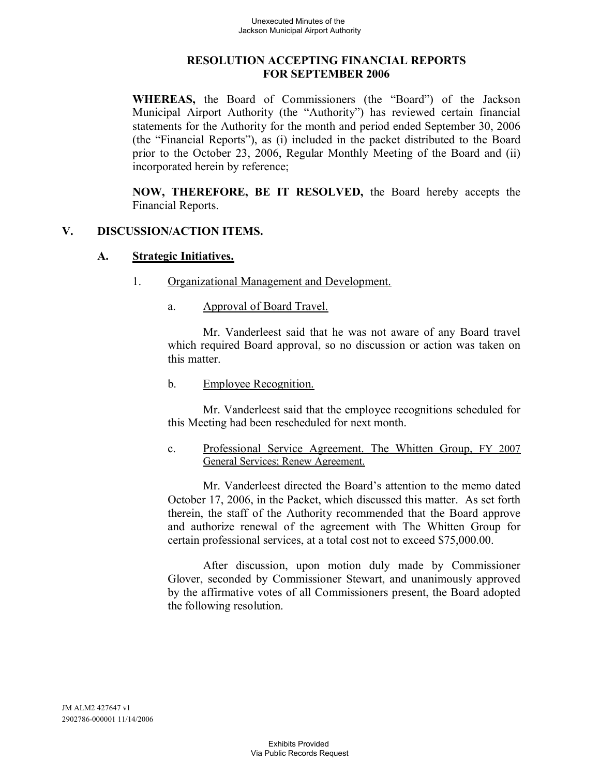#### **RESOLUTION ACCEPTING FINANCIAL REPORTS FOR SEPTEMBER 2006**

**WHEREAS,** the Board of Commissioners (the "Board") of the Jackson Municipal Airport Authority (the "Authority") has reviewed certain financial statements for the Authority for the month and period ended September 30, 2006 (the "Financial Reports"), as (i) included in the packet distributed to the Board prior to the October 23, 2006, Regular Monthly Meeting of the Board and (ii) incorporated herein by reference;

**NOW, THEREFORE, BE IT RESOLVED,** the Board hereby accepts the Financial Reports.

#### **V. DISCUSSION/ACTION ITEMS.**

#### **A. Strategic Initiatives.**

- 1. Organizational Management and Development.
	- a. Approval of Board Travel.

Mr. Vanderleest said that he was not aware of any Board travel which required Board approval, so no discussion or action was taken on this matter.

b. Employee Recognition.

Mr. Vanderleest said that the employee recognitions scheduled for this Meeting had been rescheduled for next month.

c. Professional Service Agreement. The Whitten Group, FY 2007 General Services; Renew Agreement.

Mr. Vanderleest directed the Board's attention to the memo dated October 17, 2006, in the Packet, which discussed this matter. As set forth therein, the staff of the Authority recommended that the Board approve and authorize renewal of the agreement with The Whitten Group for certain professional services, at a total cost not to exceed \$75,000.00.

After discussion, upon motion duly made by Commissioner Glover, seconded by Commissioner Stewart, and unanimously approved by the affirmative votes of all Commissioners present, the Board adopted the following resolution.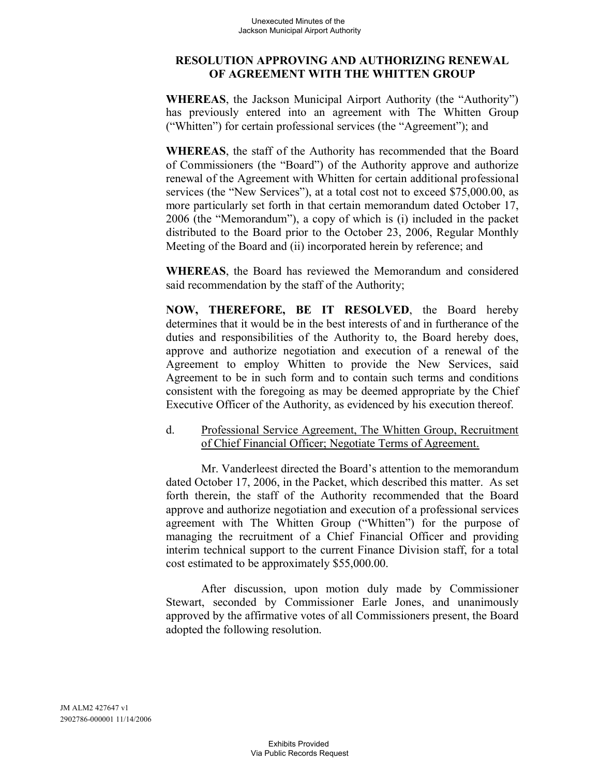#### **RESOLUTION APPROVING AND AUTHORIZING RENEWAL OF AGREEMENT WITH THE WHITTEN GROUP**

**WHEREAS**, the Jackson Municipal Airport Authority (the "Authority") has previously entered into an agreement with The Whitten Group ("Whitten") for certain professional services (the "Agreement"); and

**WHEREAS**, the staff of the Authority has recommended that the Board of Commissioners (the "Board") of the Authority approve and authorize renewal of the Agreement with Whitten for certain additional professional services (the "New Services"), at a total cost not to exceed \$75,000.00, as more particularly set forth in that certain memorandum dated October 17, 2006 (the "Memorandum"), a copy of which is (i) included in the packet distributed to the Board prior to the October 23, 2006, Regular Monthly Meeting of the Board and (ii) incorporated herein by reference; and

**WHEREAS**, the Board has reviewed the Memorandum and considered said recommendation by the staff of the Authority;

**NOW, THEREFORE, BE IT RESOLVED**, the Board hereby determines that it would be in the best interests of and in furtherance of the duties and responsibilities of the Authority to, the Board hereby does, approve and authorize negotiation and execution of a renewal of the Agreement to employ Whitten to provide the New Services, said Agreement to be in such form and to contain such terms and conditions consistent with the foregoing as may be deemed appropriate by the Chief Executive Officer of the Authority, as evidenced by his execution thereof.

# d. Professional Service Agreement, The Whitten Group, Recruitment of Chief Financial Officer; Negotiate Terms of Agreement.

Mr. Vanderleest directed the Board's attention to the memorandum dated October 17, 2006, in the Packet, which described this matter. As set forth therein, the staff of the Authority recommended that the Board approve and authorize negotiation and execution of a professional services agreement with The Whitten Group ("Whitten") for the purpose of managing the recruitment of a Chief Financial Officer and providing interim technical support to the current Finance Division staff, for a total cost estimated to be approximately \$55,000.00.

After discussion, upon motion duly made by Commissioner Stewart, seconded by Commissioner Earle Jones, and unanimously approved by the affirmative votes of all Commissioners present, the Board adopted the following resolution.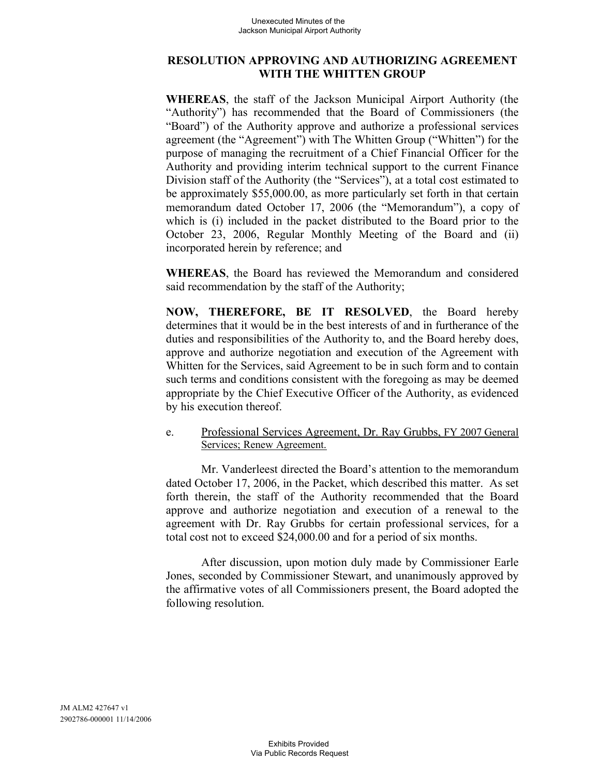#### **RESOLUTION APPROVING AND AUTHORIZING AGREEMENT WITH THE WHITTEN GROUP**

**WHEREAS**, the staff of the Jackson Municipal Airport Authority (the "Authority") has recommended that the Board of Commissioners (the "Board") of the Authority approve and authorize a professional services agreement (the "Agreement") with The Whitten Group ("Whitten") for the purpose of managing the recruitment of a Chief Financial Officer for the Authority and providing interim technical support to the current Finance Division staff of the Authority (the "Services"), at a total cost estimated to be approximately \$55,000.00, as more particularly set forth in that certain memorandum dated October 17, 2006 (the "Memorandum"), a copy of which is (i) included in the packet distributed to the Board prior to the October 23, 2006, Regular Monthly Meeting of the Board and (ii) incorporated herein by reference; and

**WHEREAS**, the Board has reviewed the Memorandum and considered said recommendation by the staff of the Authority;

**NOW, THEREFORE, BE IT RESOLVED**, the Board hereby determines that it would be in the best interests of and in furtherance of the duties and responsibilities of the Authority to, and the Board hereby does, approve and authorize negotiation and execution of the Agreement with Whitten for the Services, said Agreement to be in such form and to contain such terms and conditions consistent with the foregoing as may be deemed appropriate by the Chief Executive Officer of the Authority, as evidenced by his execution thereof.

e. Professional Services Agreement, Dr. Ray Grubbs, FY 2007 General Services; Renew Agreement.

Mr. Vanderleest directed the Board's attention to the memorandum dated October 17, 2006, in the Packet, which described this matter. As set forth therein, the staff of the Authority recommended that the Board approve and authorize negotiation and execution of a renewal to the agreement with Dr. Ray Grubbs for certain professional services, for a total cost not to exceed \$24,000.00 and for a period of six months.

After discussion, upon motion duly made by Commissioner Earle Jones, seconded by Commissioner Stewart, and unanimously approved by the affirmative votes of all Commissioners present, the Board adopted the following resolution.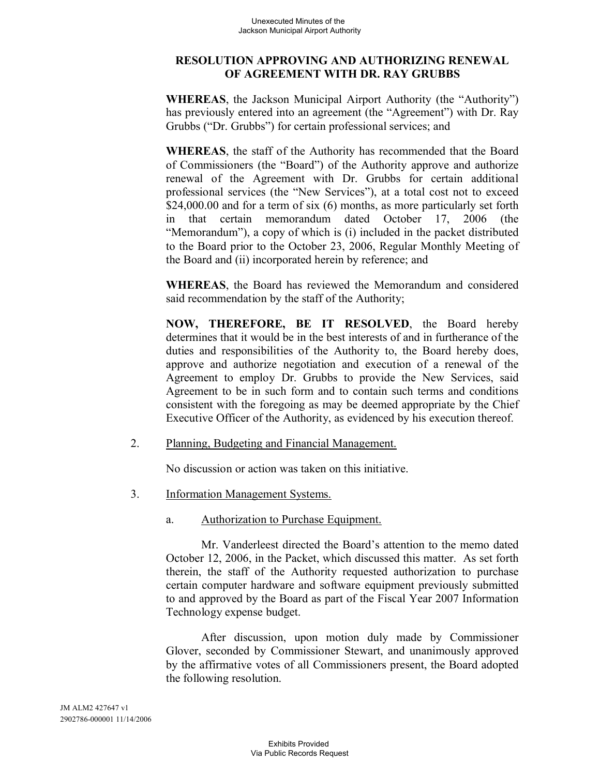#### **RESOLUTION APPROVING AND AUTHORIZING RENEWAL OF AGREEMENT WITH DR. RAY GRUBBS**

**WHEREAS**, the Jackson Municipal Airport Authority (the "Authority") has previously entered into an agreement (the "Agreement") with Dr. Ray Grubbs ("Dr. Grubbs") for certain professional services; and

**WHEREAS**, the staff of the Authority has recommended that the Board of Commissioners (the "Board") of the Authority approve and authorize renewal of the Agreement with Dr. Grubbs for certain additional professional services (the "New Services"), at a total cost not to exceed \$24,000.00 and for a term of six (6) months, as more particularly set forth in that certain memorandum dated October 17, 2006 (the "Memorandum"), a copy of which is (i) included in the packet distributed to the Board prior to the October 23, 2006, Regular Monthly Meeting of the Board and (ii) incorporated herein by reference; and

**WHEREAS**, the Board has reviewed the Memorandum and considered said recommendation by the staff of the Authority;

**NOW, THEREFORE, BE IT RESOLVED**, the Board hereby determines that it would be in the best interests of and in furtherance of the duties and responsibilities of the Authority to, the Board hereby does, approve and authorize negotiation and execution of a renewal of the Agreement to employ Dr. Grubbs to provide the New Services, said Agreement to be in such form and to contain such terms and conditions consistent with the foregoing as may be deemed appropriate by the Chief Executive Officer of the Authority, as evidenced by his execution thereof.

2. Planning, Budgeting and Financial Management.

No discussion or action was taken on this initiative.

- 3. Information Management Systems.
	- a. Authorization to Purchase Equipment.

Mr. Vanderleest directed the Board's attention to the memo dated October 12, 2006, in the Packet, which discussed this matter. As set forth therein, the staff of the Authority requested authorization to purchase certain computer hardware and software equipment previously submitted to and approved by the Board as part of the Fiscal Year 2007 Information Technology expense budget.

After discussion, upon motion duly made by Commissioner Glover, seconded by Commissioner Stewart, and unanimously approved by the affirmative votes of all Commissioners present, the Board adopted the following resolution.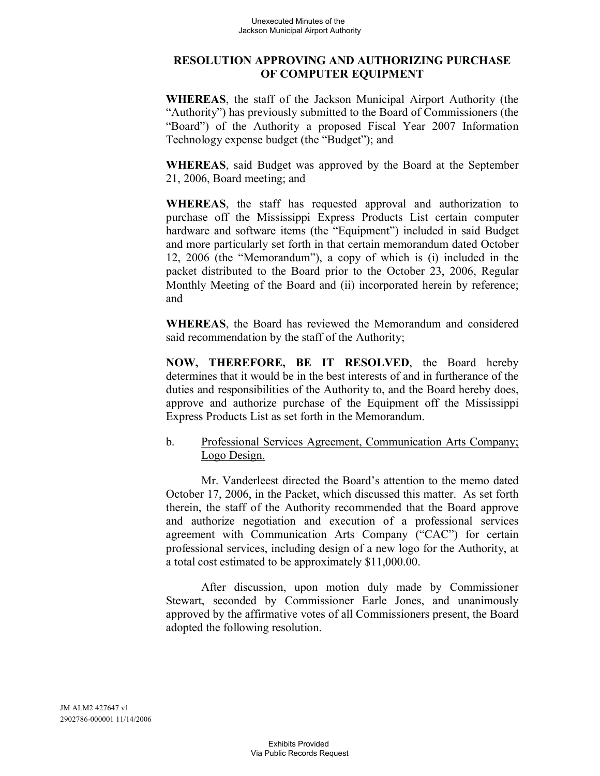#### **RESOLUTION APPROVING AND AUTHORIZING PURCHASE OF COMPUTER EQUIPMENT**

**WHEREAS**, the staff of the Jackson Municipal Airport Authority (the "Authority") has previously submitted to the Board of Commissioners (the "Board") of the Authority a proposed Fiscal Year 2007 Information Technology expense budget (the "Budget"); and

**WHEREAS**, said Budget was approved by the Board at the September 21, 2006, Board meeting; and

**WHEREAS**, the staff has requested approval and authorization to purchase off the Mississippi Express Products List certain computer hardware and software items (the "Equipment") included in said Budget and more particularly set forth in that certain memorandum dated October 12, 2006 (the "Memorandum"), a copy of which is (i) included in the packet distributed to the Board prior to the October 23, 2006, Regular Monthly Meeting of the Board and (ii) incorporated herein by reference; and

**WHEREAS**, the Board has reviewed the Memorandum and considered said recommendation by the staff of the Authority;

**NOW, THEREFORE, BE IT RESOLVED**, the Board hereby determines that it would be in the best interests of and in furtherance of the duties and responsibilities of the Authority to, and the Board hereby does, approve and authorize purchase of the Equipment off the Mississippi Express Products List as set forth in the Memorandum.

# b. Professional Services Agreement, Communication Arts Company; Logo Design.

Mr. Vanderleest directed the Board's attention to the memo dated October 17, 2006, in the Packet, which discussed this matter. As set forth therein, the staff of the Authority recommended that the Board approve and authorize negotiation and execution of a professional services agreement with Communication Arts Company ("CAC") for certain professional services, including design of a new logo for the Authority, at a total cost estimated to be approximately \$11,000.00.

After discussion, upon motion duly made by Commissioner Stewart, seconded by Commissioner Earle Jones, and unanimously approved by the affirmative votes of all Commissioners present, the Board adopted the following resolution.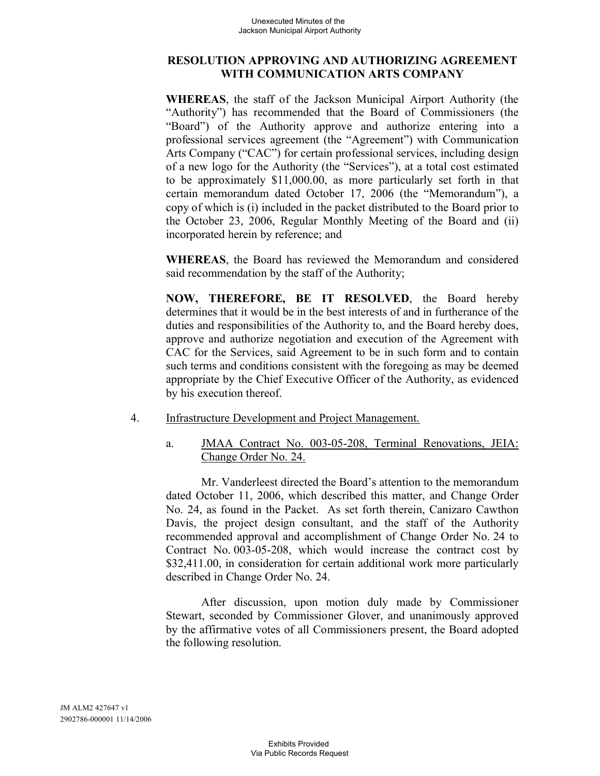#### **RESOLUTION APPROVING AND AUTHORIZING AGREEMENT WITH COMMUNICATION ARTS COMPANY**

**WHEREAS**, the staff of the Jackson Municipal Airport Authority (the "Authority") has recommended that the Board of Commissioners (the "Board") of the Authority approve and authorize entering into a professional services agreement (the "Agreement") with Communication Arts Company ("CAC") for certain professional services, including design of a new logo for the Authority (the "Services"), at a total cost estimated to be approximately \$11,000.00, as more particularly set forth in that certain memorandum dated October 17, 2006 (the "Memorandum"), a copy of which is (i) included in the packet distributed to the Board prior to the October 23, 2006, Regular Monthly Meeting of the Board and (ii) incorporated herein by reference; and

**WHEREAS**, the Board has reviewed the Memorandum and considered said recommendation by the staff of the Authority;

**NOW, THEREFORE, BE IT RESOLVED**, the Board hereby determines that it would be in the best interests of and in furtherance of the duties and responsibilities of the Authority to, and the Board hereby does, approve and authorize negotiation and execution of the Agreement with CAC for the Services, said Agreement to be in such form and to contain such terms and conditions consistent with the foregoing as may be deemed appropriate by the Chief Executive Officer of the Authority, as evidenced by his execution thereof.

- 4. Infrastructure Development and Project Management.
	- a. JMAA Contract No. 003-05-208, Terminal Renovations, JEIA: Change Order No. 24.

Mr. Vanderleest directed the Board's attention to the memorandum dated October 11, 2006, which described this matter, and Change Order No. 24, as found in the Packet. As set forth therein, Canizaro Cawthon Davis, the project design consultant, and the staff of the Authority recommended approval and accomplishment of Change Order No. 24 to Contract No. 003-05-208, which would increase the contract cost by \$32,411.00, in consideration for certain additional work more particularly described in Change Order No. 24.

After discussion, upon motion duly made by Commissioner Stewart, seconded by Commissioner Glover, and unanimously approved by the affirmative votes of all Commissioners present, the Board adopted the following resolution.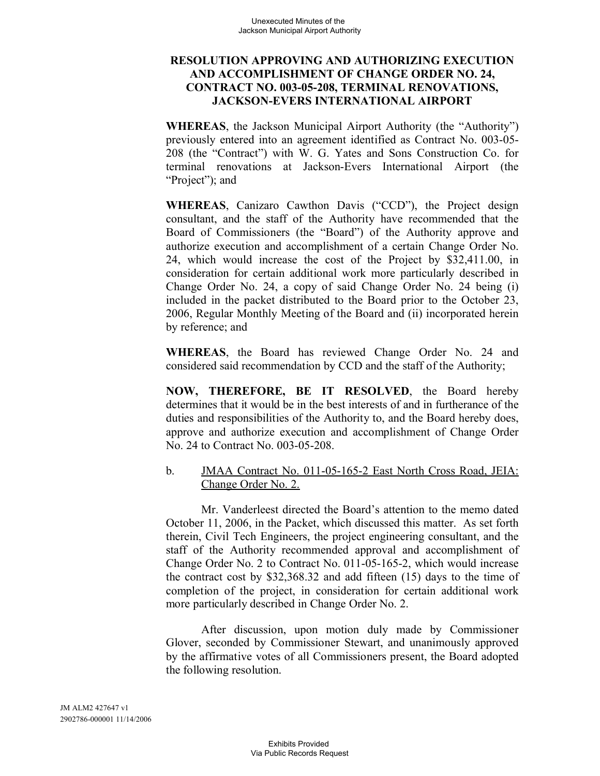#### **RESOLUTION APPROVING AND AUTHORIZING EXECUTION AND ACCOMPLISHMENT OF CHANGE ORDER NO. 24, CONTRACT NO. 003-05-208, TERMINAL RENOVATIONS, JACKSON-EVERS INTERNATIONAL AIRPORT**

**WHEREAS**, the Jackson Municipal Airport Authority (the "Authority") previously entered into an agreement identified as Contract No. 003-05- 208 (the "Contract") with W. G. Yates and Sons Construction Co. for terminal renovations at Jackson-Evers International Airport (the "Project"); and

**WHEREAS**, Canizaro Cawthon Davis ("CCD"), the Project design consultant, and the staff of the Authority have recommended that the Board of Commissioners (the "Board") of the Authority approve and authorize execution and accomplishment of a certain Change Order No. 24, which would increase the cost of the Project by \$32,411.00, in consideration for certain additional work more particularly described in Change Order No. 24, a copy of said Change Order No. 24 being (i) included in the packet distributed to the Board prior to the October 23, 2006, Regular Monthly Meeting of the Board and (ii) incorporated herein by reference; and

**WHEREAS**, the Board has reviewed Change Order No. 24 and considered said recommendation by CCD and the staff of the Authority;

**NOW, THEREFORE, BE IT RESOLVED**, the Board hereby determines that it would be in the best interests of and in furtherance of the duties and responsibilities of the Authority to, and the Board hereby does, approve and authorize execution and accomplishment of Change Order No. 24 to Contract No. 003-05-208.

# b. JMAA Contract No. 011-05-165-2 East North Cross Road, JEIA: Change Order No. 2.

Mr. Vanderleest directed the Board's attention to the memo dated October 11, 2006, in the Packet, which discussed this matter. As set forth therein, Civil Tech Engineers, the project engineering consultant, and the staff of the Authority recommended approval and accomplishment of Change Order No. 2 to Contract No. 011-05-165-2, which would increase the contract cost by \$32,368.32 and add fifteen (15) days to the time of completion of the project, in consideration for certain additional work more particularly described in Change Order No. 2.

After discussion, upon motion duly made by Commissioner Glover, seconded by Commissioner Stewart, and unanimously approved by the affirmative votes of all Commissioners present, the Board adopted the following resolution.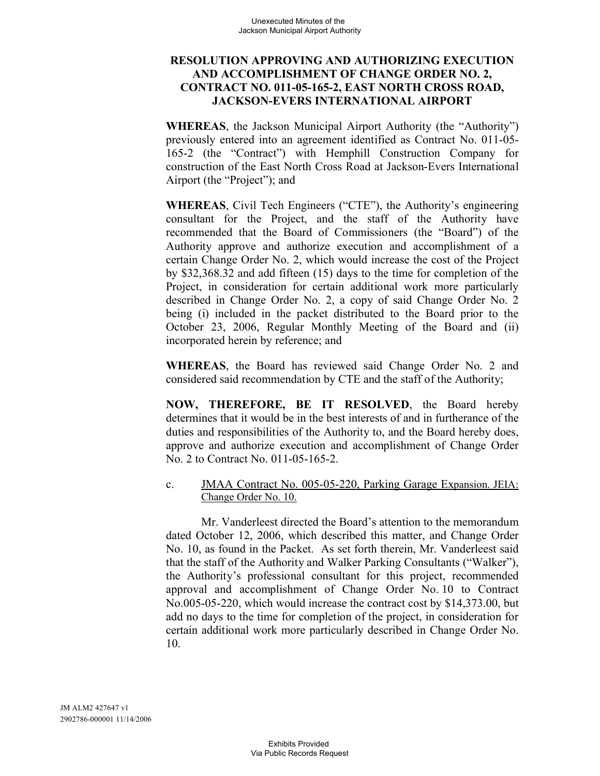#### **RESOLUTION APPROVING AND AUTHORIZING EXECUTION AND ACCOMPLISHMENT OF CHANGE ORDER NO. 2, CONTRACT NO. 011-05-165-2, EAST NORTH CROSS ROAD, JACKSON-EVERS INTERNATIONAL AIRPORT**

**WHEREAS**, the Jackson Municipal Airport Authority (the "Authority") previously entered into an agreement identified as Contract No. 011-05- 165-2 (the "Contract") with Hemphill Construction Company for construction of the East North Cross Road at Jackson-Evers International Airport (the "Project"); and

**WHEREAS**, Civil Tech Engineers ("CTE"), the Authority's engineering consultant for the Project, and the staff of the Authority have recommended that the Board of Commissioners (the "Board") of the Authority approve and authorize execution and accomplishment of a certain Change Order No. 2, which would increase the cost of the Project by \$32,368.32 and add fifteen (15) days to the time for completion of the Project, in consideration for certain additional work more particularly described in Change Order No. 2, a copy of said Change Order No. 2 being (i) included in the packet distributed to the Board prior to the October 23, 2006, Regular Monthly Meeting of the Board and (ii) incorporated herein by reference; and

**WHEREAS**, the Board has reviewed said Change Order No. 2 and considered said recommendation by CTE and the staff of the Authority;

**NOW, THEREFORE, BE IT RESOLVED**, the Board hereby determines that it would be in the best interests of and in furtherance of the duties and responsibilities of the Authority to, and the Board hereby does, approve and authorize execution and accomplishment of Change Order No. 2 to Contract No. 011-05-165-2.

c. JMAA Contract No. 005-05-220, Parking Garage Expansion. JEIA: Change Order No. 10.

Mr. Vanderleest directed the Board's attention to the memorandum dated October 12, 2006, which described this matter, and Change Order No. 10, as found in the Packet. As set forth therein, Mr. Vanderleest said that the staff of the Authority and Walker Parking Consultants ("Walker"), the Authority's professional consultant for this project, recommended approval and accomplishment of Change Order No. 10 to Contract No.005-05-220, which would increase the contract cost by \$14,373.00, but add no days to the time for completion of the project, in consideration for certain additional work more particularly described in Change Order No. 10.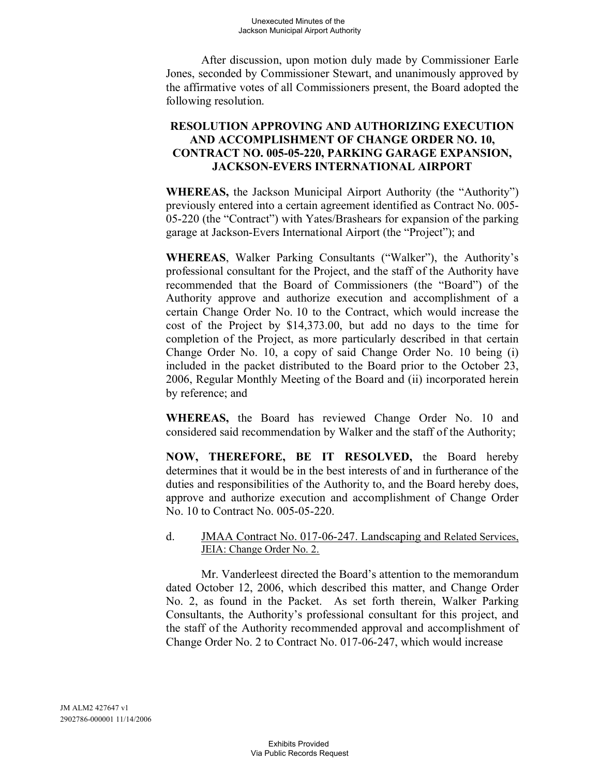After discussion, upon motion duly made by Commissioner Earle Jones, seconded by Commissioner Stewart, and unanimously approved by the affirmative votes of all Commissioners present, the Board adopted the following resolution.

#### **RESOLUTION APPROVING AND AUTHORIZING EXECUTION AND ACCOMPLISHMENT OF CHANGE ORDER NO. 10, CONTRACT NO. 005-05-220, PARKING GARAGE EXPANSION, JACKSON-EVERS INTERNATIONAL AIRPORT**

**WHEREAS,** the Jackson Municipal Airport Authority (the "Authority") previously entered into a certain agreement identified as Contract No. 005- 05-220 (the "Contract") with Yates/Brashears for expansion of the parking garage at Jackson-Evers International Airport (the "Project"); and

**WHEREAS**, Walker Parking Consultants ("Walker"), the Authority's professional consultant for the Project, and the staff of the Authority have recommended that the Board of Commissioners (the "Board") of the Authority approve and authorize execution and accomplishment of a certain Change Order No. 10 to the Contract, which would increase the cost of the Project by \$14,373.00, but add no days to the time for completion of the Project, as more particularly described in that certain Change Order No. 10, a copy of said Change Order No. 10 being (i) included in the packet distributed to the Board prior to the October 23, 2006, Regular Monthly Meeting of the Board and (ii) incorporated herein by reference; and

**WHEREAS,** the Board has reviewed Change Order No. 10 and considered said recommendation by Walker and the staff of the Authority;

**NOW, THEREFORE, BE IT RESOLVED,** the Board hereby determines that it would be in the best interests of and in furtherance of the duties and responsibilities of the Authority to, and the Board hereby does, approve and authorize execution and accomplishment of Change Order No. 10 to Contract No. 005-05-220.

#### d. JMAA Contract No. 017-06-247. Landscaping and Related Services, JEIA: Change Order No. 2.

Mr. Vanderleest directed the Board's attention to the memorandum dated October 12, 2006, which described this matter, and Change Order No. 2, as found in the Packet. As set forth therein, Walker Parking Consultants, the Authority's professional consultant for this project, and the staff of the Authority recommended approval and accomplishment of Change Order No. 2 to Contract No. 017-06-247, which would increase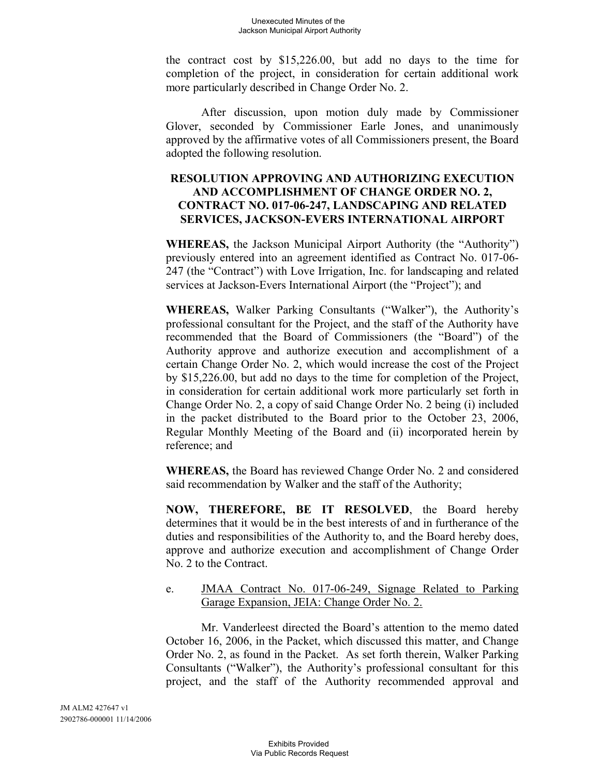the contract cost by \$15,226.00, but add no days to the time for completion of the project, in consideration for certain additional work more particularly described in Change Order No. 2.

After discussion, upon motion duly made by Commissioner Glover, seconded by Commissioner Earle Jones, and unanimously approved by the affirmative votes of all Commissioners present, the Board adopted the following resolution.

# **RESOLUTION APPROVING AND AUTHORIZING EXECUTION AND ACCOMPLISHMENT OF CHANGE ORDER NO. 2, CONTRACT NO. 017-06-247, LANDSCAPING AND RELATED SERVICES, JACKSON-EVERS INTERNATIONAL AIRPORT**

**WHEREAS,** the Jackson Municipal Airport Authority (the "Authority") previously entered into an agreement identified as Contract No. 017-06- 247 (the "Contract") with Love Irrigation, Inc. for landscaping and related services at Jackson-Evers International Airport (the "Project"); and

**WHEREAS,** Walker Parking Consultants ("Walker"), the Authority's professional consultant for the Project, and the staff of the Authority have recommended that the Board of Commissioners (the "Board") of the Authority approve and authorize execution and accomplishment of a certain Change Order No. 2, which would increase the cost of the Project by \$15,226.00, but add no days to the time for completion of the Project, in consideration for certain additional work more particularly set forth in Change Order No. 2, a copy of said Change Order No. 2 being (i) included in the packet distributed to the Board prior to the October 23, 2006, Regular Monthly Meeting of the Board and (ii) incorporated herein by reference; and

**WHEREAS,** the Board has reviewed Change Order No. 2 and considered said recommendation by Walker and the staff of the Authority;

**NOW, THEREFORE, BE IT RESOLVED**, the Board hereby determines that it would be in the best interests of and in furtherance of the duties and responsibilities of the Authority to, and the Board hereby does, approve and authorize execution and accomplishment of Change Order No. 2 to the Contract.

# e. JMAA Contract No. 017-06-249, Signage Related to Parking Garage Expansion, JEIA: Change Order No. 2.

Mr. Vanderleest directed the Board's attention to the memo dated October 16, 2006, in the Packet, which discussed this matter, and Change Order No. 2, as found in the Packet. As set forth therein, Walker Parking Consultants ("Walker"), the Authority's professional consultant for this project, and the staff of the Authority recommended approval and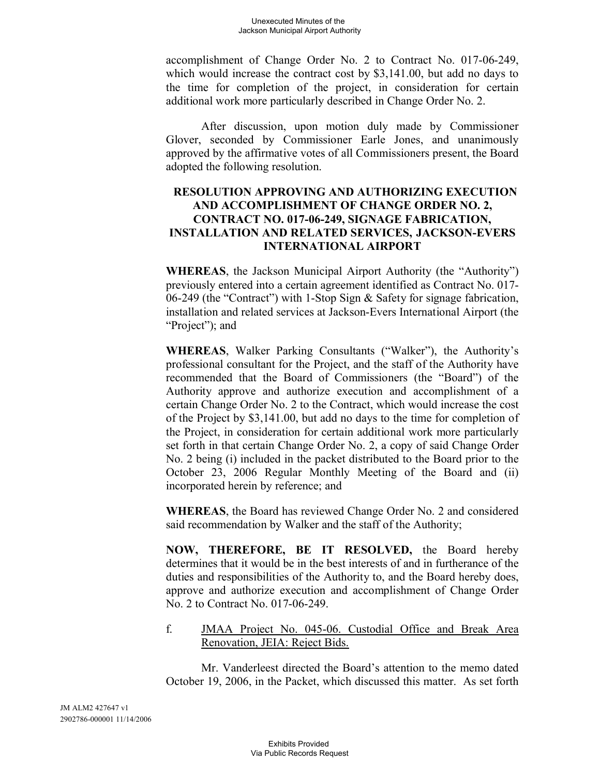accomplishment of Change Order No. 2 to Contract No. 017-06-249, which would increase the contract cost by \$3,141.00, but add no days to the time for completion of the project, in consideration for certain additional work more particularly described in Change Order No. 2.

After discussion, upon motion duly made by Commissioner Glover, seconded by Commissioner Earle Jones, and unanimously approved by the affirmative votes of all Commissioners present, the Board adopted the following resolution.

# **RESOLUTION APPROVING AND AUTHORIZING EXECUTION AND ACCOMPLISHMENT OF CHANGE ORDER NO. 2, CONTRACT NO. 017-06-249, SIGNAGE FABRICATION, INSTALLATION AND RELATED SERVICES, JACKSON-EVERS INTERNATIONAL AIRPORT**

**WHEREAS**, the Jackson Municipal Airport Authority (the "Authority") previously entered into a certain agreement identified as Contract No. 017- 06-249 (the "Contract") with 1-Stop Sign & Safety for signage fabrication, installation and related services at Jackson-Evers International Airport (the "Project"); and

**WHEREAS**, Walker Parking Consultants ("Walker"), the Authority's professional consultant for the Project, and the staff of the Authority have recommended that the Board of Commissioners (the "Board") of the Authority approve and authorize execution and accomplishment of a certain Change Order No. 2 to the Contract, which would increase the cost of the Project by \$3,141.00, but add no days to the time for completion of the Project, in consideration for certain additional work more particularly set forth in that certain Change Order No. 2, a copy of said Change Order No. 2 being (i) included in the packet distributed to the Board prior to the October 23, 2006 Regular Monthly Meeting of the Board and (ii) incorporated herein by reference; and

**WHEREAS**, the Board has reviewed Change Order No. 2 and considered said recommendation by Walker and the staff of the Authority;

**NOW, THEREFORE, BE IT RESOLVED,** the Board hereby determines that it would be in the best interests of and in furtherance of the duties and responsibilities of the Authority to, and the Board hereby does, approve and authorize execution and accomplishment of Change Order No. 2 to Contract No. 017-06-249.

#### f. JMAA Project No. 045-06. Custodial Office and Break Area Renovation, JEIA: Reject Bids.

Mr. Vanderleest directed the Board's attention to the memo dated October 19, 2006, in the Packet, which discussed this matter. As set forth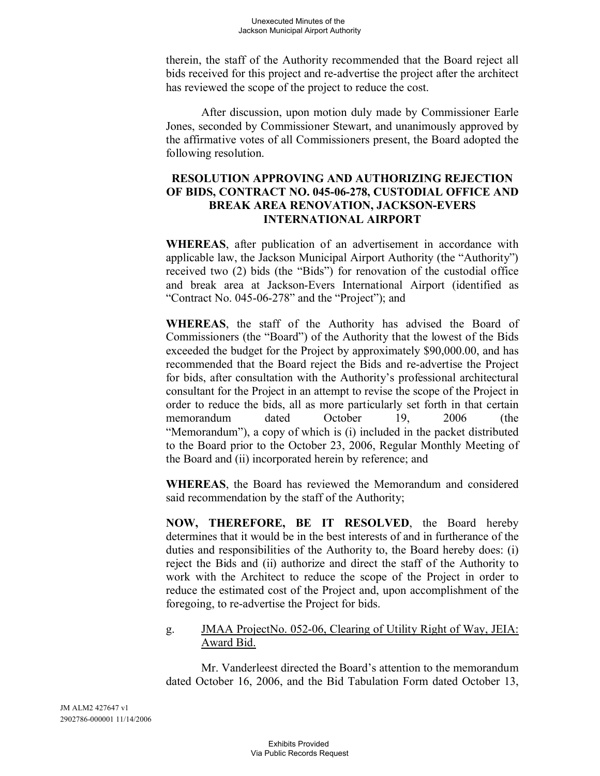therein, the staff of the Authority recommended that the Board reject all bids received for this project and re-advertise the project after the architect has reviewed the scope of the project to reduce the cost.

After discussion, upon motion duly made by Commissioner Earle Jones, seconded by Commissioner Stewart, and unanimously approved by the affirmative votes of all Commissioners present, the Board adopted the following resolution.

# **RESOLUTION APPROVING AND AUTHORIZING REJECTION OF BIDS, CONTRACT NO. 045-06-278, CUSTODIAL OFFICE AND BREAK AREA RENOVATION, JACKSON-EVERS INTERNATIONAL AIRPORT**

**WHEREAS**, after publication of an advertisement in accordance with applicable law, the Jackson Municipal Airport Authority (the "Authority") received two (2) bids (the "Bids") for renovation of the custodial office and break area at Jackson-Evers International Airport (identified as "Contract No. 045-06-278" and the "Project"); and

**WHEREAS**, the staff of the Authority has advised the Board of Commissioners (the "Board") of the Authority that the lowest of the Bids exceeded the budget for the Project by approximately \$90,000.00, and has recommended that the Board reject the Bids and re-advertise the Project for bids, after consultation with the Authority's professional architectural consultant for the Project in an attempt to revise the scope of the Project in order to reduce the bids, all as more particularly set forth in that certain memorandum dated October 19, 2006 (the "Memorandum"), a copy of which is (i) included in the packet distributed to the Board prior to the October 23, 2006, Regular Monthly Meeting of the Board and (ii) incorporated herein by reference; and

**WHEREAS**, the Board has reviewed the Memorandum and considered said recommendation by the staff of the Authority;

**NOW, THEREFORE, BE IT RESOLVED**, the Board hereby determines that it would be in the best interests of and in furtherance of the duties and responsibilities of the Authority to, the Board hereby does: (i) reject the Bids and (ii) authorize and direct the staff of the Authority to work with the Architect to reduce the scope of the Project in order to reduce the estimated cost of the Project and, upon accomplishment of the foregoing, to re-advertise the Project for bids.

# g. **JMAA ProjectNo. 052-06, Clearing of Utility Right of Way, JEIA:** Award Bid.

Mr. Vanderleest directed the Board's attention to the memorandum dated October 16, 2006, and the Bid Tabulation Form dated October 13,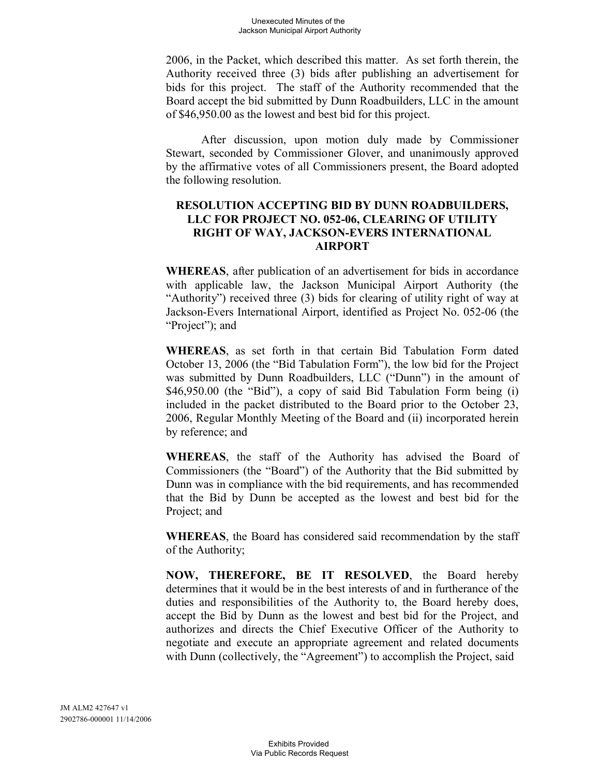2006, in the Packet, which described this matter. As set forth therein, the Authority received three (3) bids after publishing an advertisement for bids for this project. The staff of the Authority recommended that the Board accept the bid submitted by Dunn Roadbuilders, LLC in the amount of \$46,950.00 as the lowest and best bid for this project.

After discussion, upon motion duly made by Commissioner Stewart, seconded by Commissioner Glover, and unanimously approved by the affirmative votes of all Commissioners present, the Board adopted the following resolution.

#### **RESOLUTION ACCEPTING BID BY DUNN ROADBUILDERS, LLC FOR PROJECT NO. 052-06, CLEARING OF UTILITY RIGHT OF WAY, JACKSON-EVERS INTERNATIONAL AIRPORT**

**WHEREAS**, after publication of an advertisement for bids in accordance with applicable law, the Jackson Municipal Airport Authority (the "Authority") received three (3) bids for clearing of utility right of way at Jackson-Evers International Airport, identified as Project No. 052-06 (the "Project"); and

**WHEREAS**, as set forth in that certain Bid Tabulation Form dated October 13, 2006 (the "Bid Tabulation Form"), the low bid for the Project was submitted by Dunn Roadbuilders, LLC ("Dunn") in the amount of \$46,950.00 (the "Bid"), a copy of said Bid Tabulation Form being (i) included in the packet distributed to the Board prior to the October 23, 2006, Regular Monthly Meeting of the Board and (ii) incorporated herein by reference; and

**WHEREAS**, the staff of the Authority has advised the Board of Commissioners (the "Board") of the Authority that the Bid submitted by Dunn was in compliance with the bid requirements, and has recommended that the Bid by Dunn be accepted as the lowest and best bid for the Project; and

**WHEREAS**, the Board has considered said recommendation by the staff of the Authority;

**NOW, THEREFORE, BE IT RESOLVED**, the Board hereby determines that it would be in the best interests of and in furtherance of the duties and responsibilities of the Authority to, the Board hereby does, accept the Bid by Dunn as the lowest and best bid for the Project, and authorizes and directs the Chief Executive Officer of the Authority to negotiate and execute an appropriate agreement and related documents with Dunn (collectively, the "Agreement") to accomplish the Project, said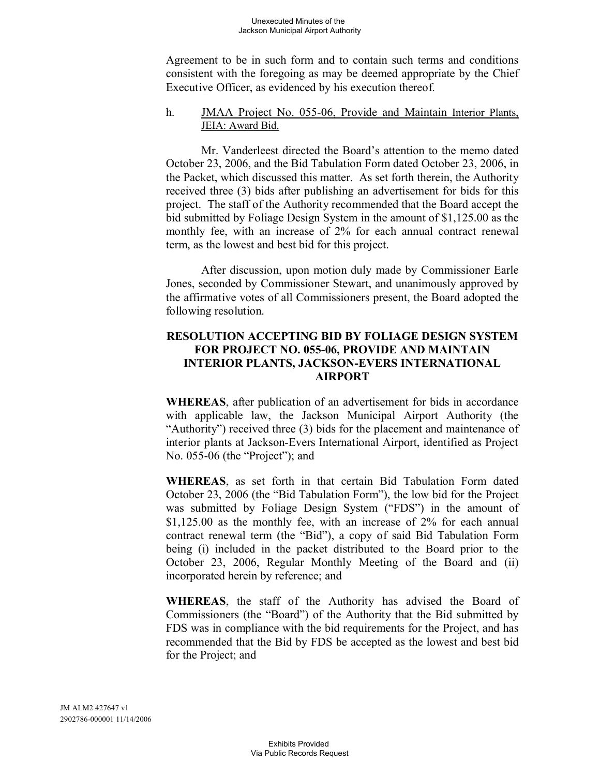Agreement to be in such form and to contain such terms and conditions consistent with the foregoing as may be deemed appropriate by the Chief Executive Officer, as evidenced by his execution thereof.

#### h. JMAA Project No. 055-06, Provide and Maintain Interior Plants, JEIA: Award Bid.

Mr. Vanderleest directed the Board's attention to the memo dated October 23, 2006, and the Bid Tabulation Form dated October 23, 2006, in the Packet, which discussed this matter. As set forth therein, the Authority received three (3) bids after publishing an advertisement for bids for this project. The staff of the Authority recommended that the Board accept the bid submitted by Foliage Design System in the amount of \$1,125.00 as the monthly fee, with an increase of 2% for each annual contract renewal term, as the lowest and best bid for this project.

After discussion, upon motion duly made by Commissioner Earle Jones, seconded by Commissioner Stewart, and unanimously approved by the affirmative votes of all Commissioners present, the Board adopted the following resolution.

# **RESOLUTION ACCEPTING BID BY FOLIAGE DESIGN SYSTEM FOR PROJECT NO. 055-06, PROVIDE AND MAINTAIN INTERIOR PLANTS, JACKSON-EVERS INTERNATIONAL AIRPORT**

**WHEREAS**, after publication of an advertisement for bids in accordance with applicable law, the Jackson Municipal Airport Authority (the "Authority") received three (3) bids for the placement and maintenance of interior plants at Jackson-Evers International Airport, identified as Project No. 055-06 (the "Project"); and

**WHEREAS**, as set forth in that certain Bid Tabulation Form dated October 23, 2006 (the "Bid Tabulation Form"), the low bid for the Project was submitted by Foliage Design System ("FDS") in the amount of \$1,125.00 as the monthly fee, with an increase of 2% for each annual contract renewal term (the "Bid"), a copy of said Bid Tabulation Form being (i) included in the packet distributed to the Board prior to the October 23, 2006, Regular Monthly Meeting of the Board and (ii) incorporated herein by reference; and

**WHEREAS**, the staff of the Authority has advised the Board of Commissioners (the "Board") of the Authority that the Bid submitted by FDS was in compliance with the bid requirements for the Project, and has recommended that the Bid by FDS be accepted as the lowest and best bid for the Project; and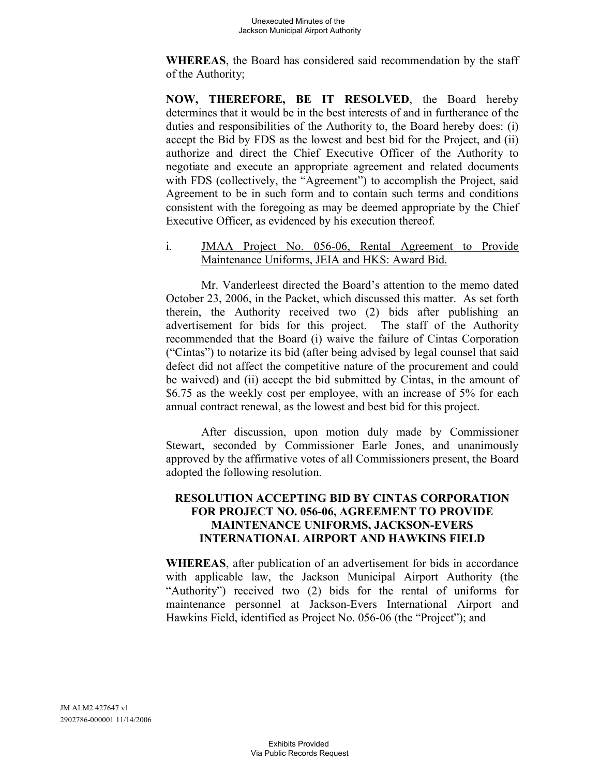**WHEREAS**, the Board has considered said recommendation by the staff of the Authority;

**NOW, THEREFORE, BE IT RESOLVED**, the Board hereby determines that it would be in the best interests of and in furtherance of the duties and responsibilities of the Authority to, the Board hereby does: (i) accept the Bid by FDS as the lowest and best bid for the Project, and (ii) authorize and direct the Chief Executive Officer of the Authority to negotiate and execute an appropriate agreement and related documents with FDS (collectively, the "Agreement") to accomplish the Project, said Agreement to be in such form and to contain such terms and conditions consistent with the foregoing as may be deemed appropriate by the Chief Executive Officer, as evidenced by his execution thereof.

i. JMAA Project No. 056-06, Rental Agreement to Provide Maintenance Uniforms, JEIA and HKS: Award Bid.

Mr. Vanderleest directed the Board's attention to the memo dated October 23, 2006, in the Packet, which discussed this matter. As set forth therein, the Authority received two (2) bids after publishing an advertisement for bids for this project. The staff of the Authority recommended that the Board (i) waive the failure of Cintas Corporation ("Cintas") to notarize its bid (after being advised by legal counsel that said defect did not affect the competitive nature of the procurement and could be waived) and (ii) accept the bid submitted by Cintas, in the amount of \$6.75 as the weekly cost per employee, with an increase of 5% for each annual contract renewal, as the lowest and best bid for this project.

After discussion, upon motion duly made by Commissioner Stewart, seconded by Commissioner Earle Jones, and unanimously approved by the affirmative votes of all Commissioners present, the Board adopted the following resolution.

# **RESOLUTION ACCEPTING BID BY CINTAS CORPORATION FOR PROJECT NO. 056-06, AGREEMENT TO PROVIDE MAINTENANCE UNIFORMS, JACKSON-EVERS INTERNATIONAL AIRPORT AND HAWKINS FIELD**

**WHEREAS**, after publication of an advertisement for bids in accordance with applicable law, the Jackson Municipal Airport Authority (the "Authority") received two (2) bids for the rental of uniforms for maintenance personnel at Jackson-Evers International Airport and Hawkins Field, identified as Project No. 056-06 (the "Project"); and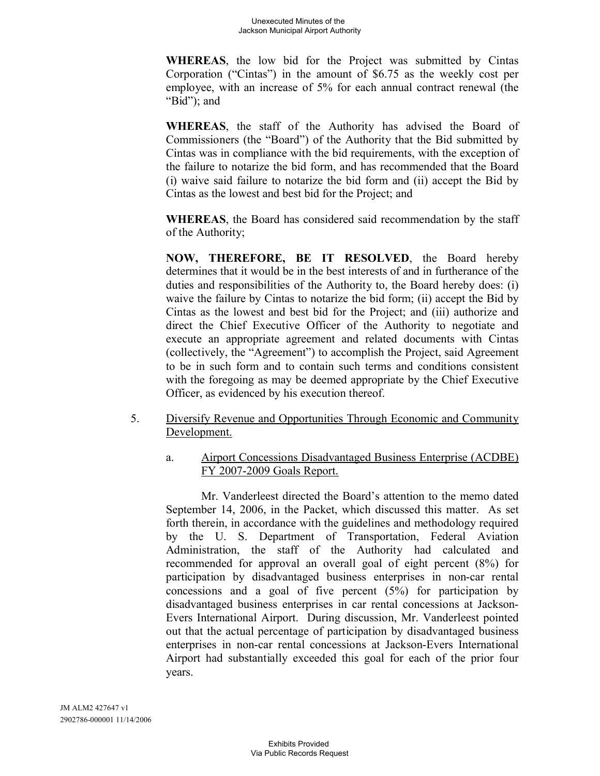**WHEREAS**, the low bid for the Project was submitted by Cintas Corporation ("Cintas") in the amount of \$6.75 as the weekly cost per employee, with an increase of 5% for each annual contract renewal (the "Bid"); and

**WHEREAS**, the staff of the Authority has advised the Board of Commissioners (the "Board") of the Authority that the Bid submitted by Cintas was in compliance with the bid requirements, with the exception of the failure to notarize the bid form, and has recommended that the Board (i) waive said failure to notarize the bid form and (ii) accept the Bid by Cintas as the lowest and best bid for the Project; and

**WHEREAS**, the Board has considered said recommendation by the staff of the Authority;

**NOW, THEREFORE, BE IT RESOLVED**, the Board hereby determines that it would be in the best interests of and in furtherance of the duties and responsibilities of the Authority to, the Board hereby does: (i) waive the failure by Cintas to notarize the bid form; (ii) accept the Bid by Cintas as the lowest and best bid for the Project; and (iii) authorize and direct the Chief Executive Officer of the Authority to negotiate and execute an appropriate agreement and related documents with Cintas (collectively, the "Agreement") to accomplish the Project, said Agreement to be in such form and to contain such terms and conditions consistent with the foregoing as may be deemed appropriate by the Chief Executive Officer, as evidenced by his execution thereof.

- 5. Diversify Revenue and Opportunities Through Economic and Community Development.
	- a. Airport Concessions Disadvantaged Business Enterprise (ACDBE) FY 2007-2009 Goals Report.

Mr. Vanderleest directed the Board's attention to the memo dated September 14, 2006, in the Packet, which discussed this matter. As set forth therein, in accordance with the guidelines and methodology required by the U. S. Department of Transportation, Federal Aviation Administration, the staff of the Authority had calculated and recommended for approval an overall goal of eight percent (8%) for participation by disadvantaged business enterprises in non-car rental concessions and a goal of five percent (5%) for participation by disadvantaged business enterprises in car rental concessions at Jackson-Evers International Airport. During discussion, Mr. Vanderleest pointed out that the actual percentage of participation by disadvantaged business enterprises in non-car rental concessions at Jackson-Evers International Airport had substantially exceeded this goal for each of the prior four years.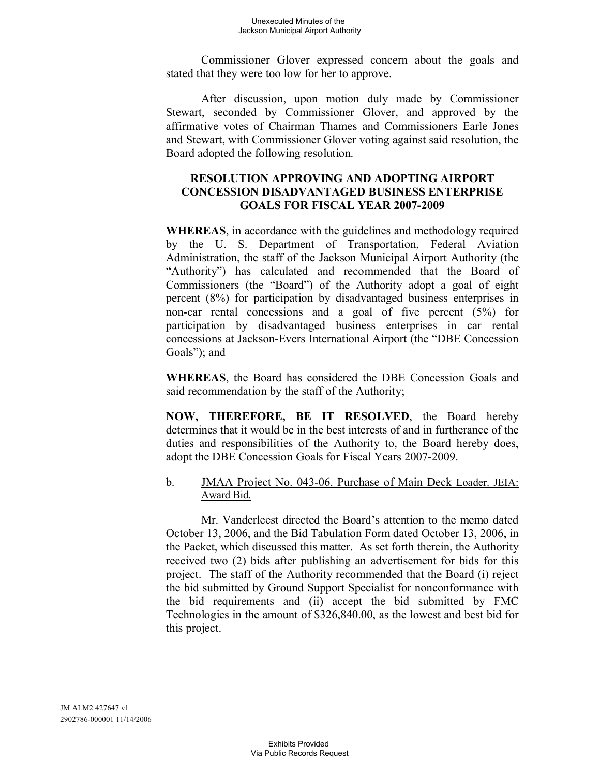Commissioner Glover expressed concern about the goals and stated that they were too low for her to approve.

After discussion, upon motion duly made by Commissioner Stewart, seconded by Commissioner Glover, and approved by the affirmative votes of Chairman Thames and Commissioners Earle Jones and Stewart, with Commissioner Glover voting against said resolution, the Board adopted the following resolution.

# **RESOLUTION APPROVING AND ADOPTING AIRPORT CONCESSION DISADVANTAGED BUSINESS ENTERPRISE GOALS FOR FISCAL YEAR 2007-2009**

**WHEREAS**, in accordance with the guidelines and methodology required by the U. S. Department of Transportation, Federal Aviation Administration, the staff of the Jackson Municipal Airport Authority (the "Authority") has calculated and recommended that the Board of Commissioners (the "Board") of the Authority adopt a goal of eight percent (8%) for participation by disadvantaged business enterprises in non-car rental concessions and a goal of five percent (5%) for participation by disadvantaged business enterprises in car rental concessions at Jackson-Evers International Airport (the "DBE Concession Goals"); and

**WHEREAS**, the Board has considered the DBE Concession Goals and said recommendation by the staff of the Authority;

**NOW, THEREFORE, BE IT RESOLVED**, the Board hereby determines that it would be in the best interests of and in furtherance of the duties and responsibilities of the Authority to, the Board hereby does, adopt the DBE Concession Goals for Fiscal Years 2007-2009.

# b. JMAA Project No. 043-06. Purchase of Main Deck Loader. JEIA: Award Bid.

Mr. Vanderleest directed the Board's attention to the memo dated October 13, 2006, and the Bid Tabulation Form dated October 13, 2006, in the Packet, which discussed this matter. As set forth therein, the Authority received two (2) bids after publishing an advertisement for bids for this project. The staff of the Authority recommended that the Board (i) reject the bid submitted by Ground Support Specialist for nonconformance with the bid requirements and (ii) accept the bid submitted by FMC Technologies in the amount of \$326,840.00, as the lowest and best bid for this project.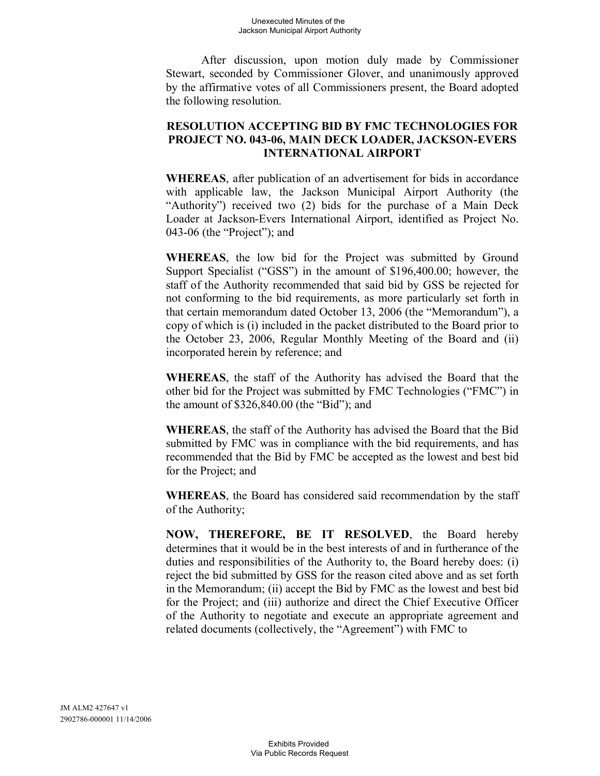#### Unexecuted Minutes of the Jackson Municipal Airport Authority

After discussion, upon motion duly made by Commissioner Stewart, seconded by Commissioner Glover, and unanimously approved by the affirmative votes of all Commissioners present, the Board adopted the following resolution.

#### **RESOLUTION ACCEPTING BID BY FMC TECHNOLOGIES FOR PROJECT NO. 043-06, MAIN DECK LOADER, JACKSON-EVERS INTERNATIONAL AIRPORT**

**WHEREAS**, after publication of an advertisement for bids in accordance with applicable law, the Jackson Municipal Airport Authority (the "Authority") received two (2) bids for the purchase of a Main Deck Loader at Jackson-Evers International Airport, identified as Project No. 043-06 (the "Project"); and

**WHEREAS**, the low bid for the Project was submitted by Ground Support Specialist ("GSS") in the amount of \$196,400.00; however, the staff of the Authority recommended that said bid by GSS be rejected for not conforming to the bid requirements, as more particularly set forth in that certain memorandum dated October 13, 2006 (the "Memorandum"), a copy of which is (i) included in the packet distributed to the Board prior to the October 23, 2006, Regular Monthly Meeting of the Board and (ii) incorporated herein by reference; and

**WHEREAS**, the staff of the Authority has advised the Board that the other bid for the Project was submitted by FMC Technologies ("FMC") in the amount of \$326,840.00 (the "Bid"); and

**WHEREAS**, the staff of the Authority has advised the Board that the Bid submitted by FMC was in compliance with the bid requirements, and has recommended that the Bid by FMC be accepted as the lowest and best bid for the Project; and

**WHEREAS**, the Board has considered said recommendation by the staff of the Authority;

**NOW, THEREFORE, BE IT RESOLVED**, the Board hereby determines that it would be in the best interests of and in furtherance of the duties and responsibilities of the Authority to, the Board hereby does: (i) reject the bid submitted by GSS for the reason cited above and as set forth in the Memorandum; (ii) accept the Bid by FMC as the lowest and best bid for the Project; and (iii) authorize and direct the Chief Executive Officer of the Authority to negotiate and execute an appropriate agreement and related documents (collectively, the "Agreement") with FMC to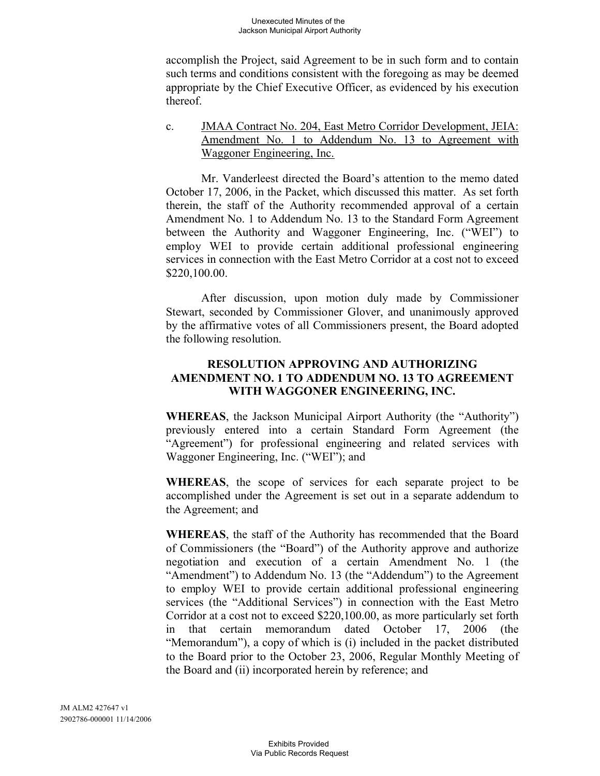accomplish the Project, said Agreement to be in such form and to contain such terms and conditions consistent with the foregoing as may be deemed appropriate by the Chief Executive Officer, as evidenced by his execution thereof.

c. JMAA Contract No. 204, East Metro Corridor Development, JEIA: Amendment No. 1 to Addendum No. 13 to Agreement with Waggoner Engineering, Inc.

Mr. Vanderleest directed the Board's attention to the memo dated October 17, 2006, in the Packet, which discussed this matter. As set forth therein, the staff of the Authority recommended approval of a certain Amendment No. 1 to Addendum No. 13 to the Standard Form Agreement between the Authority and Waggoner Engineering, Inc. ("WEI") to employ WEI to provide certain additional professional engineering services in connection with the East Metro Corridor at a cost not to exceed \$220,100.00.

After discussion, upon motion duly made by Commissioner Stewart, seconded by Commissioner Glover, and unanimously approved by the affirmative votes of all Commissioners present, the Board adopted the following resolution.

# **RESOLUTION APPROVING AND AUTHORIZING AMENDMENT NO. 1 TO ADDENDUM NO. 13 TO AGREEMENT WITH WAGGONER ENGINEERING, INC.**

**WHEREAS**, the Jackson Municipal Airport Authority (the "Authority") previously entered into a certain Standard Form Agreement (the "Agreement") for professional engineering and related services with Waggoner Engineering, Inc. ("WEI"); and

**WHEREAS**, the scope of services for each separate project to be accomplished under the Agreement is set out in a separate addendum to the Agreement; and

**WHEREAS**, the staff of the Authority has recommended that the Board of Commissioners (the "Board") of the Authority approve and authorize negotiation and execution of a certain Amendment No. 1 (the "Amendment") to Addendum No. 13 (the "Addendum") to the Agreement to employ WEI to provide certain additional professional engineering services (the "Additional Services") in connection with the East Metro Corridor at a cost not to exceed \$220,100.00, as more particularly set forth in that certain memorandum dated October 17, 2006 (the "Memorandum"), a copy of which is (i) included in the packet distributed to the Board prior to the October 23, 2006, Regular Monthly Meeting of the Board and (ii) incorporated herein by reference; and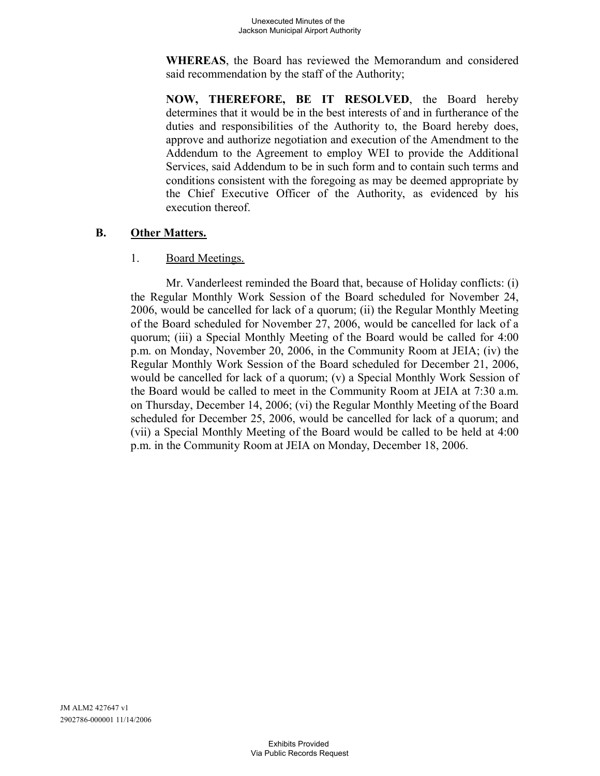**WHEREAS**, the Board has reviewed the Memorandum and considered said recommendation by the staff of the Authority;

**NOW, THEREFORE, BE IT RESOLVED**, the Board hereby determines that it would be in the best interests of and in furtherance of the duties and responsibilities of the Authority to, the Board hereby does, approve and authorize negotiation and execution of the Amendment to the Addendum to the Agreement to employ WEI to provide the Additional Services, said Addendum to be in such form and to contain such terms and conditions consistent with the foregoing as may be deemed appropriate by the Chief Executive Officer of the Authority, as evidenced by his execution thereof.

# **B. Other Matters.**

#### 1. Board Meetings.

Mr. Vanderleest reminded the Board that, because of Holiday conflicts: (i) the Regular Monthly Work Session of the Board scheduled for November 24, 2006, would be cancelled for lack of a quorum; (ii) the Regular Monthly Meeting of the Board scheduled for November 27, 2006, would be cancelled for lack of a quorum; (iii) a Special Monthly Meeting of the Board would be called for 4:00 p.m. on Monday, November 20, 2006, in the Community Room at JEIA; (iv) the Regular Monthly Work Session of the Board scheduled for December 21, 2006, would be cancelled for lack of a quorum; (v) a Special Monthly Work Session of the Board would be called to meet in the Community Room at JEIA at 7:30 a.m. on Thursday, December 14, 2006; (vi) the Regular Monthly Meeting of the Board scheduled for December 25, 2006, would be cancelled for lack of a quorum; and (vii) a Special Monthly Meeting of the Board would be called to be held at 4:00 p.m. in the Community Room at JEIA on Monday, December 18, 2006.